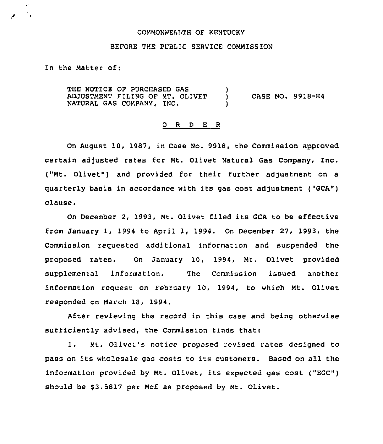# COMMONWEALTH OF KENTUCKY

#### BEFORE THE PUBLIC SERVICE COMMISSION

# In the Matter of:

THE NOTICE OF PURCHASED GAS À ADJUSTMENT FILING OF MT. OLIVET Ÿ CASE NO. 9918-H4 NATURAL GAS COMPANY, INC. )

### 0 <sup>R</sup> <sup>D</sup> E <sup>R</sup>

On August 10, 1987, in Case No. 9918, the Commission approved certain adjusted rates for Mt. Olivet Natural Gas Company, Inc. ("Mt. Olivet") and provided for their further adjustment on a quarterly basis in accordance with its gas cost adjustment ("GCA") clause.

On December 2, 1993, Mt. Olivet filed its GCA to be effective from January 1, 1994 to April 1, 1994. On December 27, 1993, the Commission requested additional information and suspended the proposed rates. On January 10, 1994, Mt. Olivet provided supplemental information. The Commission issued another information request on February 10, 1994, to which Mt. Olivet responded on March 18, 1994.

After reviewing the record in this case and being otherwise sufficiently advised, the Commission finds that:

1. Mt. Olivet's notice proposed revised rates designed to pass on its wholesale gas costs to its customers. Based on all the information provided by Mt. Olivet, its expected gas cost ("EGC") should be \$3.5817 per Mcf as proposed by Mt. Olivet.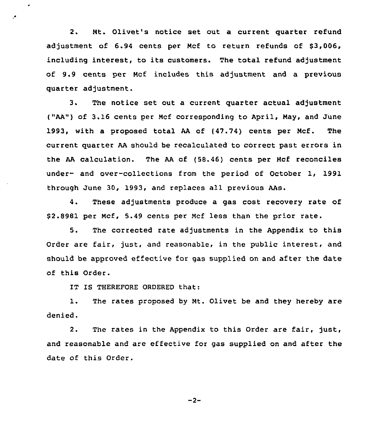2. Nt. Olivet's notice set out a current quarter refund adjustment of 6.94 cents per Mcf to return refunds of \$3,006, including interest, to its customers. The total refund adjustment of 9.9 cents per Ncf includes this adjustment and a previous quarter adjustment.

3. The notice set out a current quarter actual adjustment ("AA") of 3.16 cents per Mcf corresponding to April, May, and June 1993, with a proposed total AA of (47.74) cents per Ncf. The current quarter AA should be recalculated to correct past errors in the AA calculation. The AA of {58.46) cents per Ncf reconciles under- and over-collections from the period of October 1, 1991 through June 30, 1993, and replaces all previous AAs.

4. These adjustments produce a gas cost recovery rate of 52.8981 per Ncf, 5.49 cents per Mcf less than the prior rate.

5. The corrected rate adjustments in the Appendix to this Order are fair, just, and reasonable, in the public interest, and should be approved effective for gas supplied on and after the date of this Order.

IT IS THEREFORE ORDERED that:

 $\overline{a}$ 

1. The rates proposed by Nt. Olivet be and they hereby are denied.

2. The rates in the Appendix to this Order are fair, just, and reasonable and are effective for gas supplied on and after the date of this Order.

 $-2-$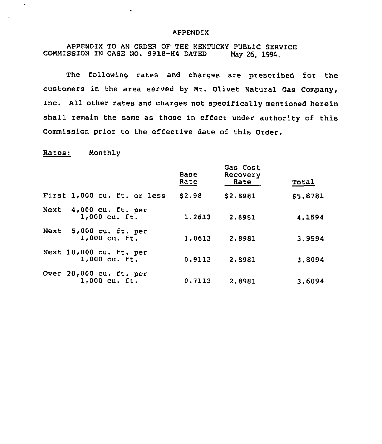# APPENDIX

APPENDIX TO AN ORDER OF THE KENTUCKY PUBLIC SERVICE SSION IN CASE NO. 9918-H4 DATED May 26, 1994. COMMISSION IN CASE NO. 9918-H4 DATED

 $\bullet$ 

The following rates and charges are prescribed for the customers in the area served by Mt. Olivet Natural Gas Company, Inc. All other rates and charges not specifically mentioned herein shall remain the same as those in effect under authority of this Commission prior to the effective date of this Order.

Rates: Monthly

 $\bullet$ 

|                                            | Base<br>Rate | Gas Cost<br>Recovery<br>Rate | Total    |
|--------------------------------------------|--------------|------------------------------|----------|
| First 1,000 cu. ft. or less                | \$2.98       | \$2.8981                     | \$5,8781 |
| Next 4,000 cu. ft. per<br>1,000 cu. ft.    | 1.2613       | 2.8981                       | 4.1594   |
| Next 5,000 cu. ft. per<br>$1,000$ cu. ft.  | 1,0613       | 2.8981                       | 3.9594   |
| Next 10,000 cu. ft. per<br>$1,000$ cu. ft. | 0.9113       | 2,8981                       | 3,8094   |
| Over 20,000 cu. ft. per<br>$1,000$ cu. ft. | 0.7113       | 2.8981                       | 3,6094   |